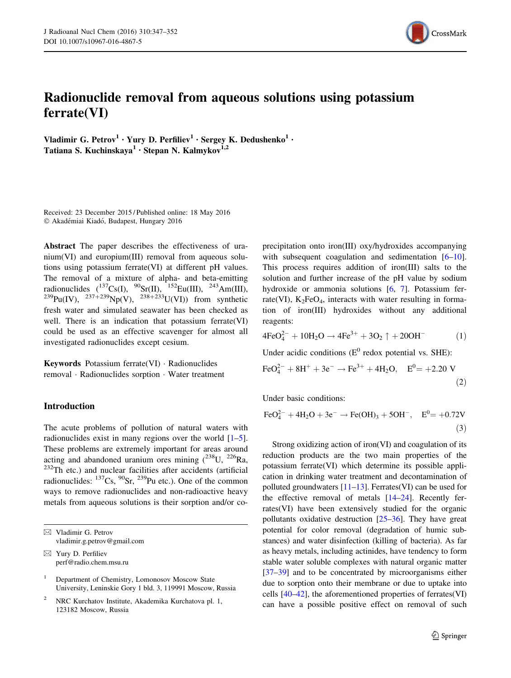

# Radionuclide removal from aqueous solutions using potassium ferrate(VI)

Vladimir G. Petrov<sup>1</sup> · Yury D. Perfiliev<sup>1</sup> · Sergey K. Dedushenko<sup>1</sup> · Tatiana S. Kuchinskaya<sup>1</sup> · Stepan N. Kalmykov<sup>1,2</sup>

Received: 23 December 2015 / Published online: 18 May 2016 © Akadémiai Kiadó, Budapest, Hungary 2016

Abstract The paper describes the effectiveness of uranium(VI) and europium(III) removal from aqueous solutions using potassium ferrate(VI) at different pH values. The removal of a mixture of alpha- and beta-emitting radionuclides  $(^{137}\text{Cs}(\text{I}), \frac{90}\text{Sr}(\text{II}), \frac{152}\text{Eu}(\text{III}), \frac{243}\text{Am}(\text{III}),$  $^{239}Pu(IV),$   $^{237+239}Np(V),$   $^{238+233}U(VI)$ ) from synthetic fresh water and simulated seawater has been checked as well. There is an indication that potassium ferrate(VI) could be used as an effective scavenger for almost all investigated radionuclides except cesium.

Keywords Potassium ferrate(VI) - Radionuclides removal - Radionuclides sorption - Water treatment

## Introduction

The acute problems of pollution of natural waters with radionuclides exist in many regions over the world  $[1-5]$ . These problems are extremely important for areas around acting and abandoned uranium ores mining  $(^{238}$ U,  $^{226}$ Ra, <sup>232</sup>Th etc.) and nuclear facilities after accidents (artificial radionuclides:  $^{137}Cs$ ,  $^{90}Sr$ ,  $^{239}Pu$  etc.). One of the common ways to remove radionuclides and non-radioactive heavy metals from aqueous solutions is their sorption and/or coprecipitation onto iron(III) oxy/hydroxides accompanying with subsequent coagulation and sedimentation [\[6–10](#page-4-0)]. This process requires addition of iron(III) salts to the solution and further increase of the pH value by sodium hydroxide or ammonia solutions [[6,](#page-4-0) [7\]](#page-4-0). Potassium ferrate(VI),  $K_2FeO_4$ , interacts with water resulting in formation of iron(III) hydroxides without any additional reagents:

$$
4FeO_4^{2-} + 10H_2O \rightarrow 4Fe^{3+} + 3O_2 \uparrow + 20OH^-
$$
 (1)

Under acidic conditions  $(E^0 \text{ redox potential vs. SHE})$ :

$$
\text{FeO}_4^{2-} + 8\text{H}^+ + 3\text{e}^- \rightarrow \text{Fe}^{3+} + 4\text{H}_2\text{O}, \quad \text{E}^0 = +2.20 \text{ V}
$$
\n<sup>(2)</sup>

Under basic conditions:

$$
\text{FeO}_4^{2-} + 4\text{H}_2\text{O} + 3\text{e}^- \rightarrow \text{Fe(OH)}_3 + 5\text{OH}^-, \quad \text{E}^0 = +0.72\text{V}
$$
\n(3)

Strong oxidizing action of iron(VI) and coagulation of its reduction products are the two main properties of the potassium ferrate(VI) which determine its possible application in drinking water treatment and decontamination of polluted groundwaters [\[11–13\]](#page-4-0). Ferrates(VI) can be used for the effective removal of metals [[14–24](#page-4-0)]. Recently ferrates(VI) have been extensively studied for the organic pollutants oxidative destruction [\[25–](#page-4-0)[36\]](#page-5-0). They have great potential for color removal (degradation of humic substances) and water disinfection (killing of bacteria). As far as heavy metals, including actinides, have tendency to form stable water soluble complexes with natural organic matter [\[37–39\]](#page-5-0) and to be concentrated by microorganisms either due to sorption onto their membrane or due to uptake into cells [[40–42](#page-5-0)], the aforementioned properties of ferrates(VI) can have a possible positive effect on removal of such

<sup>&</sup>amp; Vladimir G. Petrov vladimir.g.petrov@gmail.com

 $\boxtimes$  Yury D. Perfiliev perf@radio.chem.msu.ru

Department of Chemistry, Lomonosov Moscow State University, Leninskie Gory 1 bld. 3, 119991 Moscow, Russia

<sup>2</sup> NRC Kurchatov Institute, Akademika Kurchatova pl. 1, 123182 Moscow, Russia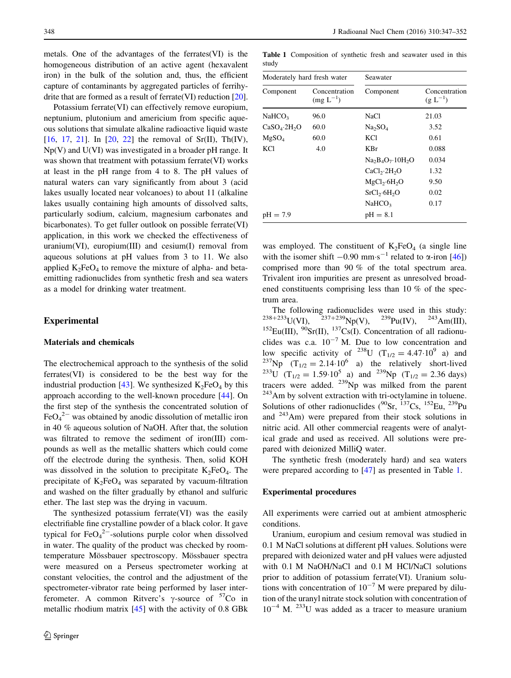metals. One of the advantages of the ferrates(VI) is the homogeneous distribution of an active agent (hexavalent iron) in the bulk of the solution and, thus, the efficient capture of contaminants by aggregated particles of ferrihydrite that are formed as a result of ferrate(VI) reduction [[20](#page-4-0)].

Potassium ferrate(VI) can effectively remove europium, neptunium, plutonium and americium from specific aqueous solutions that simulate alkaline radioactive liquid waste [\[16](#page-4-0), [17,](#page-4-0) [21\]](#page-4-0). In [[20,](#page-4-0) [22](#page-4-0)] the removal of Sr(II), Th(IV), Np(V) and U(VI) was investigated in a broader pH range. It was shown that treatment with potassium ferrate(VI) works at least in the pH range from 4 to 8. The pH values of natural waters can vary significantly from about 3 (acid lakes usually located near volcanoes) to about 11 (alkaline lakes usually containing high amounts of dissolved salts, particularly sodium, calcium, magnesium carbonates and bicarbonates). To get fuller outlook on possible ferrate(VI) application, in this work we checked the effectiveness of uranium(VI), europium(III) and cesium(I) removal from aqueous solutions at pH values from 3 to 11. We also applied  $K_2FeO_4$  to remove the mixture of alpha- and betaemitting radionuclides from synthetic fresh and sea waters as a model for drinking water treatment.

#### Experimental

## Materials and chemicals

The electrochemical approach to the synthesis of the solid ferrates(VI) is considered to be the best way for the industrial production [[43\]](#page-5-0). We synthesized  $K_2FeO_4$  by this approach according to the well-known procedure [[44\]](#page-5-0). On the first step of the synthesis the concentrated solution of  $FeO<sub>4</sub><sup>2-</sup>$  was obtained by anodic dissolution of metallic iron in 40 % aqueous solution of NaOH. After that, the solution was filtrated to remove the sediment of iron(III) compounds as well as the metallic shatters which could come off the electrode during the synthesis. Then, solid KOH was dissolved in the solution to precipitate  $K_2FeO_4$ . The precipitate of  $K_2FeO_4$  was separated by vacuum-filtration and washed on the filter gradually by ethanol and sulfuric ether. The last step was the drying in vacuum.

The synthesized potassium ferrate(VI) was the easily electrifiable fine crystalline powder of a black color. It gave typical for  $FeO<sub>4</sub><sup>2-</sup>$ -solutions purple color when dissolved in water. The quality of the product was checked by roomtemperature Mössbauer spectroscopy. Mössbauer spectra were measured on a Perseus spectrometer working at constant velocities, the control and the adjustment of the spectrometer-vibrator rate being performed by laser interferometer. A common Ritverc's  $\gamma$ -source of  $57$ Co in metallic rhodium matrix [[45\]](#page-5-0) with the activity of 0.8 GBk

Table 1 Composition of synthetic fresh and seawater used in this study

| Moderately hard fresh water          |                                | Seawater                             |                               |
|--------------------------------------|--------------------------------|--------------------------------------|-------------------------------|
| Component                            | Concentration<br>$(mg L^{-1})$ | Component                            | Concentration<br>$(g L^{-1})$ |
| NaHCO <sub>3</sub>                   | 96.0                           | NaCl                                 | 21.03                         |
| CaSO <sub>4</sub> ·2H <sub>2</sub> O | 60.0                           | Na <sub>2</sub> SO <sub>4</sub>      | 3.52                          |
| MgSO <sub>4</sub>                    | 60.0                           | <b>KCl</b>                           | 0.61                          |
| <b>KCl</b>                           | 4.0                            | KBr                                  | 0.088                         |
|                                      |                                | $Na2B4O7·10H2O$                      | 0.034                         |
|                                      |                                | CaCl <sub>2</sub> ·2H <sub>2</sub> O | 1.32                          |
|                                      |                                | MgCl <sub>2</sub> ·6H <sub>2</sub> O | 9.50                          |
|                                      |                                | SrCl <sub>2</sub> ·6H <sub>2</sub> O | 0.02                          |
|                                      |                                | NaHCO <sub>3</sub>                   | 0.17                          |
| $pH = 7.9$                           |                                | $pH = 8.1$                           |                               |

was employed. The constituent of  $K_2FeO_4$  (a single line with the isomer shift  $-0.90$  mm $\cdot$ s<sup>-1</sup> related to  $\alpha$ -iron [[46\]](#page-5-0)) comprised more than 90 % of the total spectrum area. Trivalent iron impurities are present as unresolved broadened constituents comprising less than 10 % of the spectrum area.

The following radionuclides were used in this study:  $^{238+233}$ U(VI),  $^{237+239}$ Np(V),  $^{239}$ Pu(IV),  $^{243}$ Am(III), <sup>152</sup>Eu(III), <sup>90</sup>Sr(II), <sup>137</sup>Cs(I). Concentration of all radionuclides was c.a.  $10^{-7}$  M. Due to low concentration and low specific activity of <sup>238</sup>U ( $T_{1/2} = 4.47 \cdot 10^9$  a) and <sup>237</sup>Np  $(T_{1/2} = 2.14 \cdot 10^6$  a) the relatively short-lived <sup>233</sup>U (T<sub>1/2</sub> = 1.59·10<sup>5</sup> a) and <sup>239</sup>Np (T<sub>1/2</sub> = 2.36 days) tracers were added.  $239$ Np was milked from the parent <sup>243</sup>Am by solvent extraction with tri-octylamine in toluene. Solutions of other radionuclides  $(^{90}Sr, \frac{137}{C}Cs, \frac{152}{E}u, \frac{239}{C}Pu$ and 243Am) were prepared from their stock solutions in nitric acid. All other commercial reagents were of analytical grade and used as received. All solutions were prepared with deionized MilliQ water.

The synthetic fresh (moderately hard) and sea waters were prepared according to [[47\]](#page-5-0) as presented in Table 1.

#### Experimental procedures

All experiments were carried out at ambient atmospheric conditions.

Uranium, europium and cesium removal was studied in 0.1 M NaCl solutions at different pH values. Solutions were prepared with deionized water and pH values were adjusted with 0.1 M NaOH/NaCl and 0.1 M HCl/NaCl solutions prior to addition of potassium ferrate(VI). Uranium solutions with concentration of  $10^{-7}$  M were prepared by dilution of the uranyl nitrate stock solution with concentration of  $10^{-4}$  M.  $^{233}$ U was added as a tracer to measure uranium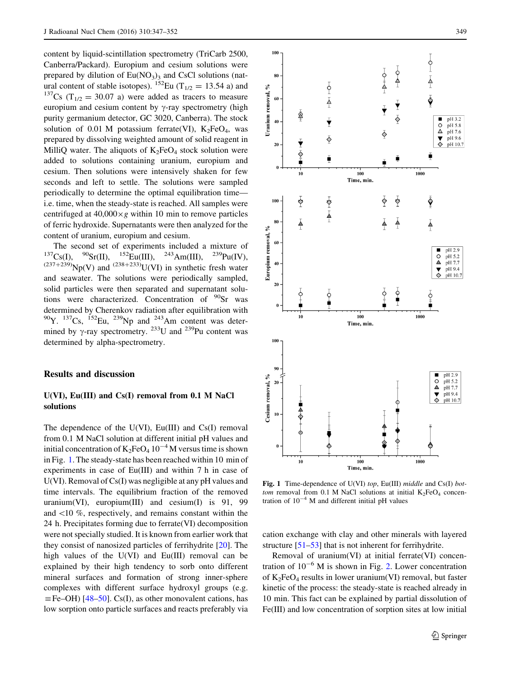content by liquid-scintillation spectrometry (TriCarb 2500, Canberra/Packard). Europium and cesium solutions were prepared by dilution of  $Eu(NO<sub>3</sub>)<sub>3</sub>$  and CsCl solutions (natural content of stable isotopes). <sup>152</sup>Eu (T<sub>1/2</sub> = 13.54 a) and <sup>137</sup>Cs (T<sub>1/2</sub> = 30.07 a) were added as tracers to measure europium and cesium content by  $\gamma$ -ray spectrometry (high purity germanium detector, GC 3020, Canberra). The stock solution of 0.01 M potassium ferrate(VI),  $K_2FeO_4$ , was prepared by dissolving weighted amount of solid reagent in MilliQ water. The aliquots of  $K_2FeO_4$  stock solution were added to solutions containing uranium, europium and cesium. Then solutions were intensively shaken for few seconds and left to settle. The solutions were sampled periodically to determine the optimal equilibration time i.e. time, when the steady-state is reached. All samples were centrifuged at  $40,000 \times g$  within 10 min to remove particles of ferric hydroxide. Supernatants were then analyzed for the content of uranium, europium and cesium.

The second set of experiments included a mixture of  $^{137}Cs$ (II).  $^{90}Sr$ (III).  $^{152}Eu$ (III).  $^{243}Am$ (III).  $^{239}Pu$ (IV).  $^{90}$ Sr(II),  $^{152}$ Eu(III),  $^{243}$ Am(III),  $^{239}$ Pu(IV),  $(237+239)$ Np(V) and  $(238+233)$ U(VI) in synthetic fresh water and seawater. The solutions were periodically sampled, solid particles were then separated and supernatant solutions were characterized. Concentration of  $\rm{^{90}Sr}$  was determined by Cherenkov radiation after equilibration with  $90$ Y.  $137$ Cs,  $152$ Eu,  $239$ Np and  $243$ Am content was determined by  $\gamma$ -ray spectrometry. <sup>233</sup>U and <sup>239</sup>Pu content was determined by alpha-spectrometry.

## Results and discussion

# U(VI), Eu(III) and Cs(I) removal from 0.1 M NaCl solutions

The dependence of the U(VI),  $Eu(III)$  and  $Cs(I)$  removal from 0.1 M NaCl solution at different initial pH values and initial concentration of  $K_2FeO_4 10^{-4}$  M versus time is shown in Fig. 1. The steady-state has been reached within 10 min of experiments in case of Eu(III) and within 7 h in case of U(VI). Removal of Cs(I) was negligible at any pH values and time intervals. The equilibrium fraction of the removed uranium(VI), europium(III) and cesium(I) is 91, 99 and  $\langle 10 \, \%$ , respectively, and remains constant within the24 h. Precipitates forming due to ferrate(VI) decomposition were not specially studied. It is known from earlier work that they consist of nanosized particles of ferrihydrite [[20\]](#page-4-0). The high values of the U(VI) and Eu(III) removal can be explained by their high tendency to sorb onto different mineral surfaces and formation of strong inner-sphere complexes with different surface hydroxyl groups (e.g.  $\equiv$  Fe–OH) [[48–50](#page-5-0)]. Cs(I), as other monovalent cations, has low sorption onto particle surfaces and reacts preferably via



Fig. 1 Time-dependence of U(VI) top, Eu(III) middle and Cs(I) bottom removal from 0.1 M NaCl solutions at initial  $K_2FeO_4$  concentration of  $10^{-4}$  M and different initial pH values

cation exchange with clay and other minerals with layered structure  $[51–53]$  $[51–53]$  that is not inherent for ferrihydrite.

Removal of uranium(VI) at initial ferrate(VI) concentration of  $10^{-6}$  M is shown in Fig. [2.](#page-3-0) Lower concentration of  $K_2FeO_4$  results in lower uranium(VI) removal, but faster kinetic of the process: the steady-state is reached already in 10 min. This fact can be explained by partial dissolution of Fe(III) and low concentration of sorption sites at low initial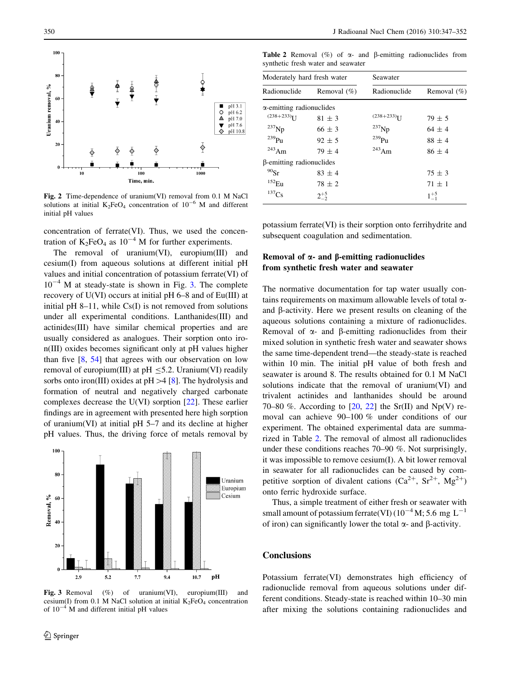<span id="page-3-0"></span>

Fig. 2 Time-dependence of uranium(VI) removal from 0.1 M NaCl solutions at initial  $K_2FeO_4$  concentration of  $10^{-6}$  M and different initial pH values

concentration of ferrate(VI). Thus, we used the concentration of  $K_2FeO_4$  as  $10^{-4}$  M for further experiments.

The removal of uranium(VI), europium(III) and cesium(I) from aqueous solutions at different initial pH values and initial concentration of potassium ferrate(VI) of  $10^{-4}$  M at steady-state is shown in Fig. 3. The complete recovery of U(VI) occurs at initial pH 6–8 and of Eu(III) at initial pH 8–11, while  $Cs(I)$  is not removed from solutions under all experimental conditions. Lanthanides(III) and actinides(III) have similar chemical properties and are usually considered as analogues. Their sorption onto iron(III) oxides becomes significant only at pH values higher than five [\[8](#page-4-0), [54\]](#page-5-0) that agrees with our observation on low removal of europium(III) at pH  $\leq$ 5.2. Uranium(VI) readily sorbs onto iron(III) oxides at  $pH > 4$  [[8\]](#page-4-0). The hydrolysis and formation of neutral and negatively charged carbonate complexes decrease the U(VI) sorption [\[22](#page-4-0)]. These earlier findings are in agreement with presented here high sorption of uranium(VI) at initial pH 5–7 and its decline at higher pH values. Thus, the driving force of metals removal by



Fig. 3 Removal (%) of uranium(VI), europium(III) and cesium(I) from 0.1 M NaCl solution at initial  $K_2FeO_4$  concentration of  $10^{-4}$  M and different initial pH values

**Table 2** Removal  $(\%)$  of  $\alpha$ - and  $\beta$ -emitting radionuclides from synthetic fresh water and seawater

| Moderately hard fresh water      |                | Seawater                  |                |
|----------------------------------|----------------|---------------------------|----------------|
| Radionuclide                     | Removal $(\%)$ | Radionuclide              | Removal $(\%)$ |
| $\alpha$ -emitting radionuclides |                |                           |                |
| $(238+233)$ <sup>T</sup>         | $81 \pm 3$     | $(238+233)$ <sub>IJ</sub> | $79 \pm 5$     |
| $^{237}$ Np                      | $66 \pm 3$     | $^{237}Np$                | $64 \pm 4$     |
| $^{239}$ Pu                      | $92 \pm 5$     | $^{239}$ Pu               | $88 \pm 4$     |
| $243$ Am                         | $79 \pm 4$     | $^{243}$ Am               | $86 \pm 4$     |
| β-emitting radionuclides         |                |                           |                |
| $^{90}Sr$                        | $83 \pm 4$     |                           | $75 \pm 3$     |
| $152$ Eu                         | $78 \pm 2$     |                           | $71 \pm 1$     |
| $137C_S$                         | $2^{+5}_{-2}$  |                           | $1^{+5}_{-1}$  |

potassium ferrate(VI) is their sorption onto ferrihydrite and subsequent coagulation and sedimentation.

# Removal of  $\alpha$ - and  $\beta$ -emitting radionuclides from synthetic fresh water and seawater

The normative documentation for tap water usually contains requirements on maximum allowable levels of total aand  $\beta$ -activity. Here we present results on cleaning of the aqueous solutions containing a mixture of radionuclides. Removal of  $\alpha$ - and  $\beta$ -emitting radionuclides from their mixed solution in synthetic fresh water and seawater shows the same time-dependent trend—the steady-state is reached within 10 min. The initial pH value of both fresh and seawater is around 8. The results obtained for 0.1 M NaCl solutions indicate that the removal of uranium(VI) and trivalent actinides and lanthanides should be around 70–80 %. According to  $[20, 22]$  $[20, 22]$  $[20, 22]$  $[20, 22]$  $[20, 22]$  the Sr(II) and Np(V) removal can achieve 90–100 % under conditions of our experiment. The obtained experimental data are summarized in Table 2. The removal of almost all radionuclides under these conditions reaches 70–90 %. Not surprisingly, it was impossible to remove cesium(I). A bit lower removal in seawater for all radionuclides can be caused by competitive sorption of divalent cations  $(Ca^{2+}, Sr^{2+}, Mg^{2+})$ onto ferric hydroxide surface.

Thus, a simple treatment of either fresh or seawater with small amount of potassium ferrate(VI)  $(10^{-4}$  M; 5.6 mg L<sup>-1</sup> of iron) can significantly lower the total  $\alpha$ - and  $\beta$ -activity.

#### **Conclusions**

Potassium ferrate(VI) demonstrates high efficiency of radionuclide removal from aqueous solutions under different conditions. Steady-state is reached within 10–30 min after mixing the solutions containing radionuclides and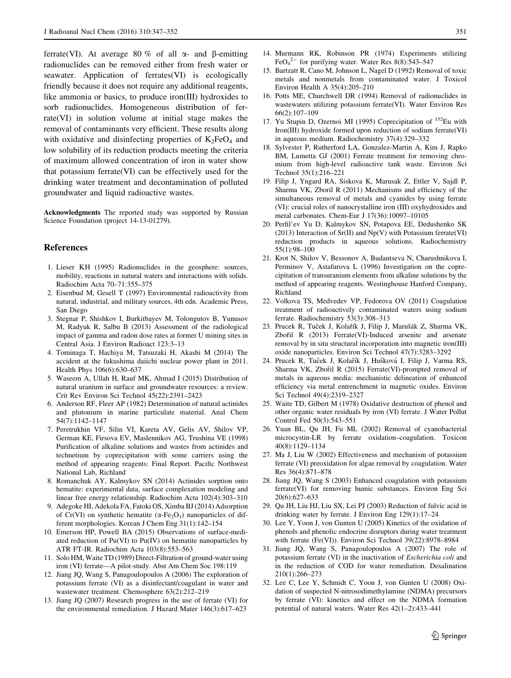<span id="page-4-0"></span>ferrate(VI). At average 80 % of all  $\alpha$ - and B-emitting radionuclides can be removed either from fresh water or seawater. Application of ferrates(VI) is ecologically friendly because it does not require any additional reagents, like ammonia or basics, to produce iron(III) hydroxides to sorb radionuclides. Homogeneous distribution of ferrate(VI) in solution volume at initial stage makes the removal of contaminants very efficient. These results along with oxidative and disinfecting properties of  $K_2FeO_4$  and low solubility of its reduction products meeting the criteria of maximum allowed concentration of iron in water show that potassium ferrate(VI) can be effectively used for the drinking water treatment and decontamination of polluted groundwater and liquid radioactive wastes.

Acknowledgments The reported study was supported by Russian Science Foundation (project 14-13-01279).

#### References

- 1. Lieser KH (1995) Radionuclides in the geosphere: sources, mobility, reactions in natural waters and interactions with solids. Radiochim Acta 70–71:355–375
- 2. Eisenbud M, Gesell T (1997) Environmental radioactivity from natural, industrial, and military sources, 4th edn. Academic Press, San Diego
- 3. Stegnar P, Shishkov I, Burkitbayev M, Tolongutov B, Yunusov M, Radyuk R, Salbu B (2013) Assessment of the radiological impact of gamma and radon dose rates at former U mining sites in Central Asia. J Environ Radioact 123:3–13
- 4. Tominaga T, Hachiya M, Tatsuzaki H, Akashi M (2014) The accident at the fukushima daiichi nuclear power plant in 2011. Health Phys 106(6):630–637
- 5. Waseem A, Ullah H, Rauf MK, Ahmad I (2015) Distribution of natural uranium in surface and groundwater resources: a review. Crit Rev Environ Sci Technol 45(22):2391–2423
- 6. Anderson RF, Fleer AP (1982) Determination of natural actinides and plutonium in marine particulate material. Anal Chem 54(7):1142–1147
- 7. Peretrukhin VF, Silin VI, Kareta AV, Gelis AV, Shilov VP, German KE, Firsova EV, Maslennikov AG, Trushina VE (1998) Purification of alkaline solutions and wastes from actinides and technetium by coprecipitation with some carriers using the method of appearing reagents: Final Report. Pacific Northwest National Lab, Richland
- 8. Romanchuk AY, Kalmykov SN (2014) Actinides sorption onto hematite: experimental data, surface complexation modeling and linear free energy relationship. Radiochim Acta 102(4):303–310
- 9. Adegoke HI, Adekola FA, Fatoki OS, Ximba BJ (2014) Adsorption of Cr(VI) on synthetic hematite ( $\alpha$ -Fe<sub>2</sub>O<sub>3</sub>) nanoparticles of different morphologies. Korean J Chem Eng 31(1):142–154
- 10. Emerson HP, Powell BA (2015) Observations of surface-mediated reduction of  $Pu(VI)$  to  $Pu(IV)$  on hematite nanoparticles by ATR FT-IR. Radiochim Acta 103(8):553–563
- 11. Solo HM, Waite TD (1989) Direct-Filtration of ground-water using iron (VI) ferrate—A pilot-study. Abst Am Chem Soc 198:119
- 12. Jiang JQ, Wang S, Panagoulopoulos A (2006) The exploration of potassium ferrate (VI) as a disinfectant/coagulant in water and wastewater treatment. Chemosphere 63(2):212–219
- 13. Jiang JQ (2007) Research progress in the use of ferrate (VI) for the environmental remediation. J Hazard Mater 146(3):617–623
- 14. Murmann RK, Robinson PR (1974) Experiments utilizing FeO<sub>4</sub><sup>2-</sup> for purifying water. Water Res 8(8):543-547
- 15. Bartzatt R, Cano M, Johnson L, Nagel D (1992) Removal of toxic metals and nonmetals from contaminated water. J Toxicol Environ Health A 35(4):205–210
- 16. Potts ME, Churchwell DR (1994) Removal of radionuclides in wastewaters utilizing potassium ferrate(VI). Water Environ Res 66(2):107–109
- 17. Yu Stupin D, Ozernoi MI (1995) Coprecipitation of <sup>152</sup>Eu with Iron(III) hydroxide formed upon reduction of sodium ferrate(VI) in aqueous medium. Radiochemistry 37(4):329–332
- 18. Sylvester P, Rutherford LA, Gonzalez-Martin A, Kim J, Rapko BM, Lumetta GJ (2001) Ferrate treatment for removing chromium from high-level radioactive tank waste. Environ Sci Technol 35(1):216–221
- 19. Filip J, Yngard RA, Siskova K, Marusak Z, Ettler V, Sajdl P, Sharma VK, Zboril R (2011) Mechanisms and efficiency of the simultaneous removal of metals and cyanides by using ferrate (VI): crucial roles of nanocrystalline iron (III) oxyhydroxides and metal carbonates. Chem-Eur J 17(36):10097–10105
- 20. Perfil'ev Yu D, Kalmykov SN, Potapova EE, Dedushenko SK (2013) Interaction of  $Sr(II)$  and  $Np(V)$  with Potassium ferrate(VI) reduction products in aqueous solutions. Radiochemistry 55(1):98–100
- 21. Krot N, Shilov V, Bessonov A, Budantseva N, Charushnikova I, Perminov V, Astafurova L (1996) Investigation on the coprecipitation of transuranium elements from alkaline solutions by the method of appearing reagents. Westinghouse Hanford Company, Richland
- 22. Volkova TS, Medvedev VP, Fedorova OV (2011) Coagulation treatment of radioactively contaminated waters using sodium ferrate. Radiochemistry 53(3):308–313
- 23. Prucek R, Tuček J, Kolařík J, Filip J, Marušák Z, Sharma VK, Zbořil R (2013) Ferrate(VI)-Induced arsenite and arsenate removal by in situ structural incorporation into magnetic iron(III) oxide nanoparticles. Environ Sci Technol 47(7):3283–3292
- 24. Prucek R, Tuček J, Kolařík J, Hušková I, Filip J, Varma RS, Sharma VK, Zbořil R (2015) Ferrate(VI)-prompted removal of metals in aqueous media: mechanistic delineation of enhanced efficiency via metal entrenchment in magnetic oxides. Environ Sci Technol 49(4):2319–2327
- 25. Waite TD, Gilbert M (1978) Oxidative destruction of phenol and other organic water residuals by iron (VI) ferrate. J Water Pollut Control Fed 50(3):543–551
- 26. Yuan BL, Qu JH, Fu ML (2002) Removal of cyanobacterial microcystin-LR by ferrate oxidation–coagulation. Toxicon 40(8):1129–1134
- 27. Ma J, Liu W (2002) Effectiveness and mechanism of potassium ferrate (VI) preoxidation for algae removal by coagulation. Water Res 36(4):871–878
- 28. Jiang JQ, Wang S (2003) Enhanced coagulation with potassium ferrate(VI) for removing humic substances. Environ Eng Sci 20(6):627–633
- 29. Qu JH, Liu HJ, Liu SX, Lei PJ (2003) Reduction of fulvic acid in drinking water by ferrate. J Environ Eng 129(1):17–24
- 30. Lee Y, Yoon J, von Gunten U (2005) Kinetics of the oxidation of phenols and phenolic endocrine disruptors during water treatment with ferrate (Fe(VI)). Environ Sci Technol 39(22):8978–8984
- 31. Jiang JQ, Wang S, Panagoulopoulos A (2007) The role of potassium ferrate (VI) in the inactivation of Escherichia coli and in the reduction of COD for water remediation. Desalination 210(1):266–273
- 32. Lee C, Lee Y, Schmidt C, Yoon J, von Gunten U (2008) Oxidation of suspected N-nitrosodimethylamine (NDMA) precursors by ferrate (VI): kinetics and effect on the NDMA formation potential of natural waters. Water Res 42(1–2):433–441